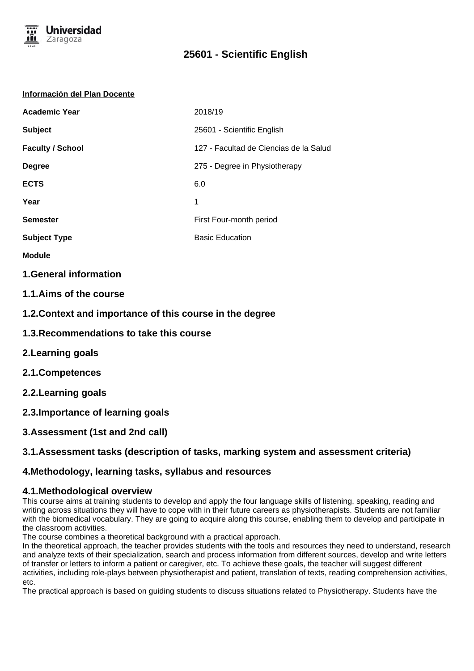

### **Información del Plan Docente**

| <b>Academic Year</b>    | 2018/19                                |
|-------------------------|----------------------------------------|
| <b>Subject</b>          | 25601 - Scientific English             |
| <b>Faculty / School</b> | 127 - Facultad de Ciencias de la Salud |
| <b>Degree</b>           | 275 - Degree in Physiotherapy          |
| <b>ECTS</b>             | 6.0                                    |
| Year                    | 1                                      |
| <b>Semester</b>         | First Four-month period                |
| <b>Subject Type</b>     | <b>Basic Education</b>                 |

**Module**

## **1.General information**

## **1.1.Aims of the course**

**1.2.Context and importance of this course in the degree**

- **1.3.Recommendations to take this course**
- **2.Learning goals**
- **2.1.Competences**
- **2.2.Learning goals**
- **2.3.Importance of learning goals**
- **3.Assessment (1st and 2nd call)**

## **3.1.Assessment tasks (description of tasks, marking system and assessment criteria)**

## **4.Methodology, learning tasks, syllabus and resources**

## **4.1.Methodological overview**

This course aims at training students to develop and apply the four language skills of listening, speaking, reading and writing across situations they will have to cope with in their future careers as physiotherapists. Students are not familiar with the biomedical vocabulary. They are going to acquire along this course, enabling them to develop and participate in the classroom activities.

The course combines a theoretical background with a practical approach.

In the theoretical approach, the teacher provides students with the tools and resources they need to understand, research and analyze texts of their specialization, search and process information from different sources, develop and write letters of transfer or letters to inform a patient or caregiver, etc. To achieve these goals, the teacher will suggest different activities, including role-plays between physiotherapist and patient, translation of texts, reading comprehension activities, etc.

The practical approach is based on guiding students to discuss situations related to Physiotherapy. Students have the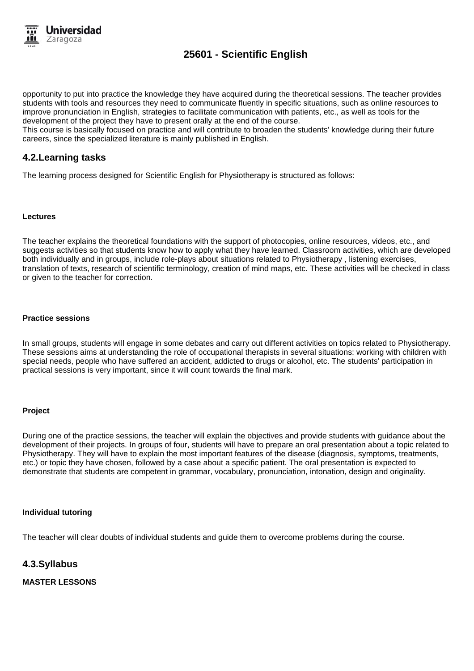

opportunity to put into practice the knowledge they have acquired during the theoretical sessions. The teacher provides students with tools and resources they need to communicate fluently in specific situations, such as online resources to improve pronunciation in English, strategies to facilitate communication with patients, etc., as well as tools for the development of the project they have to present orally at the end of the course.

This course is basically focused on practice and will contribute to broaden the students' knowledge during their future careers, since the specialized literature is mainly published in English.

## **4.2.Learning tasks**

The learning process designed for Scientific English for Physiotherapy is structured as follows:

#### **Lectures**

The teacher explains the theoretical foundations with the support of photocopies, online resources, videos, etc., and suggests activities so that students know how to apply what they have learned. Classroom activities, which are developed both individually and in groups, include role-plays about situations related to Physiotherapy , listening exercises, translation of texts, research of scientific terminology, creation of mind maps, etc. These activities will be checked in class or given to the teacher for correction.

#### **Practice sessions**

In small groups, students will engage in some debates and carry out different activities on topics related to Physiotherapy. These sessions aims at understanding the role of occupational therapists in several situations: working with children with special needs, people who have suffered an accident, addicted to drugs or alcohol, etc. The students' participation in practical sessions is very important, since it will count towards the final mark.

#### **Project**

During one of the practice sessions, the teacher will explain the objectives and provide students with guidance about the development of their projects. In groups of four, students will have to prepare an oral presentation about a topic related to Physiotherapy. They will have to explain the most important features of the disease (diagnosis, symptoms, treatments, etc.) or topic they have chosen, followed by a case about a specific patient. The oral presentation is expected to demonstrate that students are competent in grammar, vocabulary, pronunciation, intonation, design and originality.

#### **Individual tutoring**

The teacher will clear doubts of individual students and guide them to overcome problems during the course.

### **4.3.Syllabus**

**MASTER LESSONS**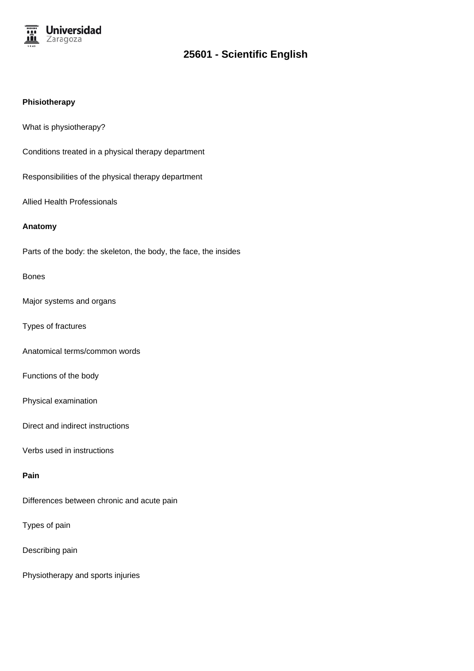

### **Phisiotherapy**

What is physiotherapy?

Conditions treated in a physical therapy department

Responsibilities of the physical therapy department

Allied Health Professionals

### **Anatomy**

Parts of the body: the skeleton, the body, the face, the insides

### Bones

Major systems and organs

Types of fractures

Anatomical terms/common words

Functions of the body

Physical examination

Direct and indirect instructions

Verbs used in instructions

## **Pain**

Differences between chronic and acute pain

Types of pain

Describing pain

Physiotherapy and sports injuries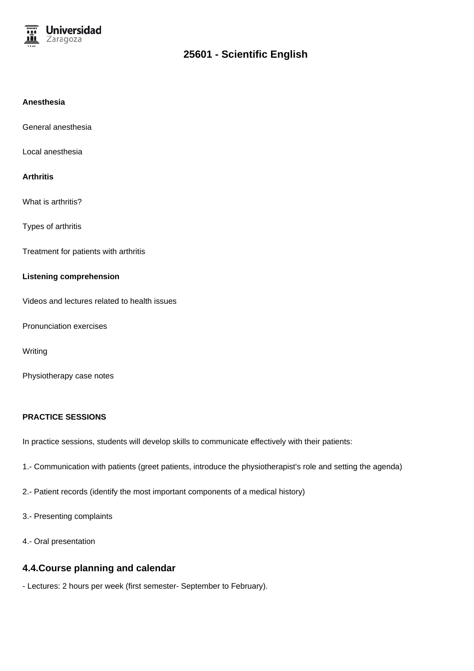

### **Anesthesia**

General anesthesia

Local anesthesia

#### **Arthritis**

What is arthritis?

Types of arthritis

Treatment for patients with arthritis

### **Listening comprehension**

Videos and lectures related to health issues

Pronunciation exercises

**Writing** 

Physiotherapy case notes

### **PRACTICE SESSIONS**

In practice sessions, students will develop skills to communicate effectively with their patients:

- 1.- Communication with patients (greet patients, introduce the physiotherapist's role and setting the agenda)
- 2.- Patient records (identify the most important components of a medical history)
- 3.- Presenting complaints
- 4.- Oral presentation

## **4.4.Course planning and calendar**

- Lectures: 2 hours per week (first semester- September to February).